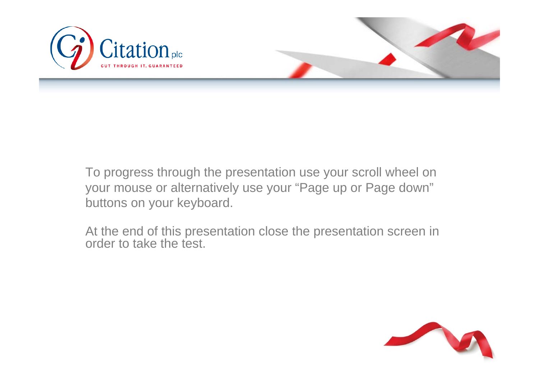



To progress through the presentation use your scroll wheel on your mouse or alternatively use your "Page up or Page down" buttons on your keyboard.

At the end of this presentation close the presentation screen in order to take the test.

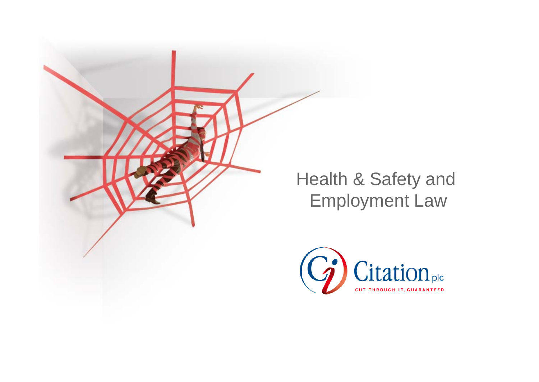

## Health & Safety and Employment Law

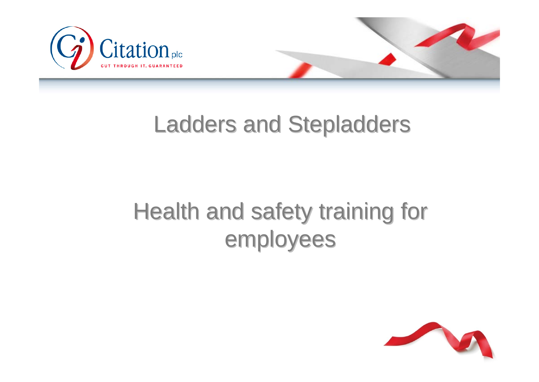



# Health and safety training for employees

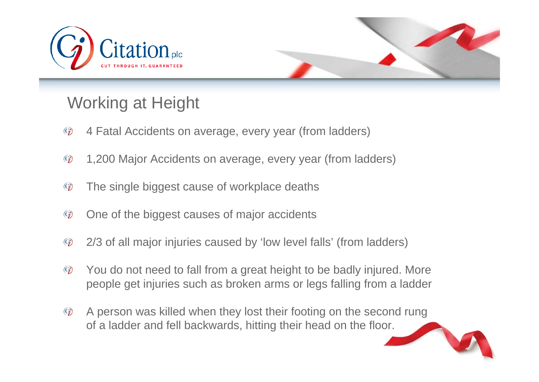



## Working at Height

- $\mathcal{C}_{\bm{\ell}}$ 4 Fatal Accidents on average, every year (from ladders)
- $\odot$ 1,200 Major Accidents on average, every year (from ladders)
- The single biggest cause of workplace deaths  $\mathbb{G}$
- $\odot$ One of the biggest causes of major accidents
- 2/3 of all major injuries caused by 'low level falls' (from ladders)  $\odot$
- $\odot$ You do not need to fall from a great height to be badly injured. More people get injuries such as broken arms or legs falling from a ladder
- $\binom{c_i}{i}$ A person was killed when they lost their footing on the second rung of a ladder and fell backwards, hitting their head on the floor.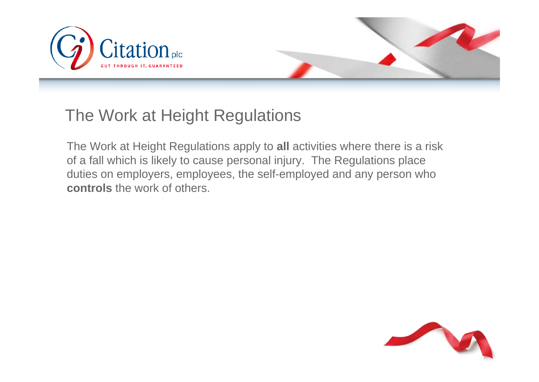



### The Work at Height Regulations

The Work at Height Regulations apply to **all** activities where there is a risk of a fall which is likely to cause personal injury. The Regulations place duties on employers, employees, the self-employed and any person who **controls** the work of others.

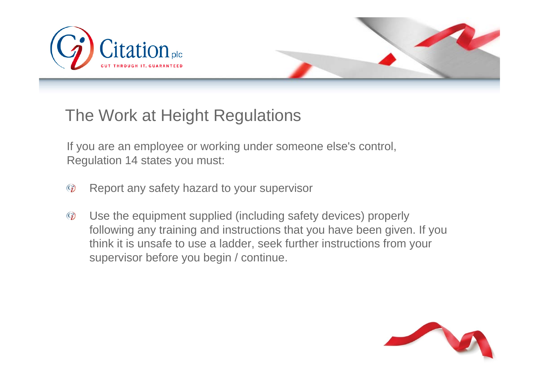



## The Work at Height Regulations

If you are an employee or working under someone else's control, Regulation 14 states you must:

- Report any safety hazard to your supervisor  $\odot$
- Use the equipment supplied (including safety devices) properly  $\odot$ following any training and instructions that you have been given. If you think it is unsafe to use a ladder, seek further instructions from your supervisor before you begin / continue.

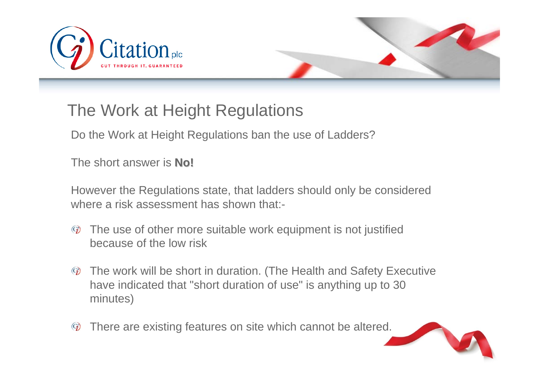



## The Work at Height Regulations

Do the Work at Height Regulations ban the use of Ladders?

The short answer is **No!**

However the Regulations state, that ladders should only be considered where a risk assessment has shown that:-

- The use of other more suitable work equipment is not justified  $\odot$ because of the low risk
- The work will be short in duration. (The Health and Safety Executive  $\mathcal{C}_{\bm j}$ have indicated that "short duration of use" is anything up to 30 minutes)
- There are existing features on site which cannot be altered.  $\mathcal{C}_{\bm i}$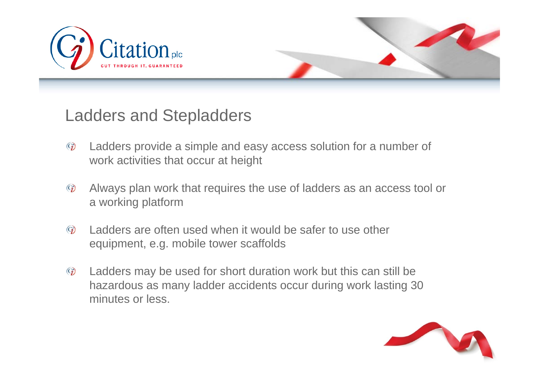



- $\odot$ Ladders provide a simple and easy access solution for a number of work activities that occur at height
- Always plan work that requires the use of ladders as an access tool or  $\mathcal{C}_{\bm j}$ a working platform
- Ladders are often used when it would be safer to use other  $\odot$ equipment, e.g. mobile tower scaffolds
- $\mathcal{C}_{\bm{\ell}}$ Ladders may be used for short duration work but this can still be hazardous as many ladder accidents occur during work lasting 30 minutes or less.

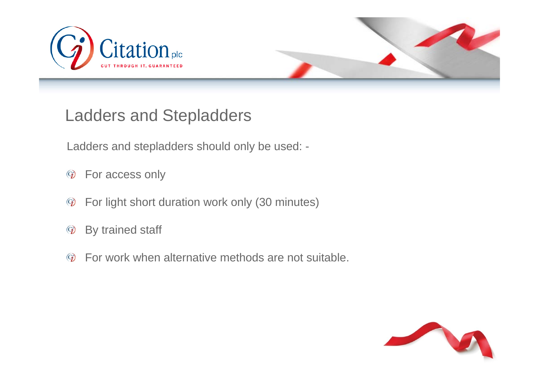



Ladders and stepladders should only be used: -

- For access only  $\rm{G}$
- For light short duration work only (30 minutes)  $\rm{G}$
- By trained staff  $\mathcal{C}_i$
- For work when alternative methods are not suitable. $\mathbf{Q}$

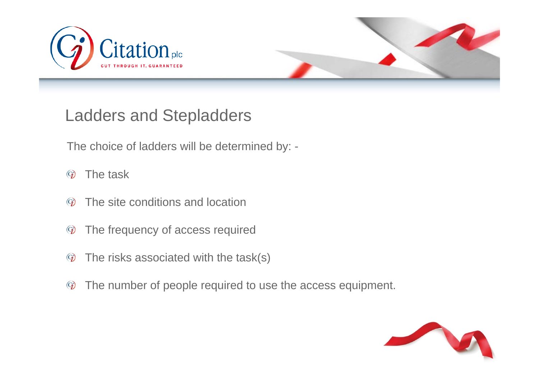



The choice of ladders will be determined by: -

- The task $\odot$
- The site conditions and location $\odot$
- $\mathbb{G}$ The frequency of access required
- The risks associated with the task(s)  $\mathcal{C}_{\bm{\ell}}$
- $\rm{G}$ The number of people required to use the access equipment.

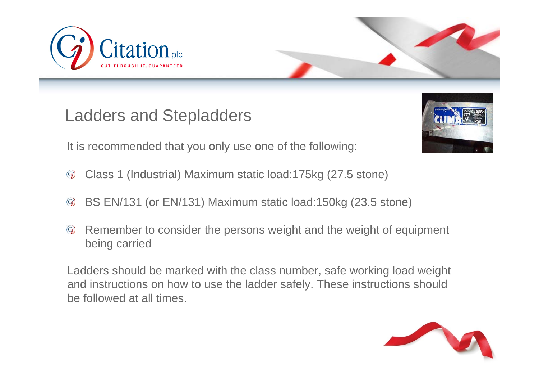



It is recommended that you only use one of the following:

- Class 1 (Industrial) Maximum static load:175kg (27.5 stone)  $\mathcal{G}$
- BS EN/131 (or EN/131) Maximum static load:150kg (23.5 stone)  $\mathcal{G}$
- Remember to consider the persons weight and the weight of equipment  $\mathcal{C}_{\bm{\ell}}$ being carried

Ladders should be marked with the class number, safe working load weight and instructions on how to use the ladder safely. These instructions should be followed at all times.

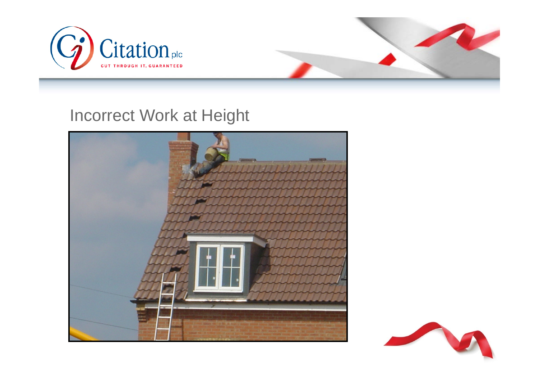



#### Incorrect Work at Height



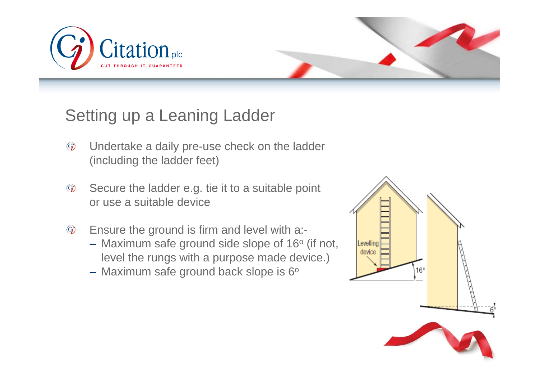



## Setting up a Leaning Ladder

- $\odot$ Undertake a daily pre-use check on the ladder (including the ladder feet)
- Secure the ladder e.g. tie it to a suitable point  $\odot$ or use a suitable device
- Ensure the ground is firm and level with a:-  $\mathcal{C}_{\bm i}$ 
	- Maximum safe ground side slope of 16 $^{\rm o}$  (if not, level the rungs with a purpose made device.)
	- Maximum safe ground back slope is 6º  $\,$

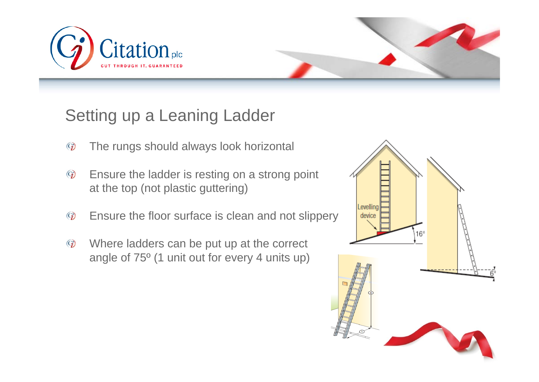



## Setting up a Leaning Ladder

- $\odot$ The rungs should always look horizontal
- Ensure the ladder is resting on a strong point  $\mathcal{C}_{\bm{\ell}}$ at the top (not plastic guttering)
- $\odot$ Ensure the floor surface is clean and not slippery
- Where ladders can be put up at the correct  $\mathbb{G}$ angle of 75º (1 unit out for every 4 units up)

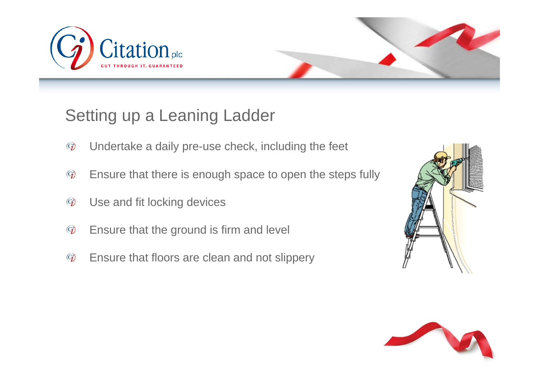



## Setting up a Leaning Ladder

- $\odot$ Undertake a daily pre-use check, including the feet
- Ensure that there is enough space to open the steps fully  $\mathcal{C}_{\bm{\ell}}$
- Use and fit locking devices  $\odot$
- $\odot$ Ensure that the ground is firm and level
- $\odot$ Ensure that floors are clean and not slippery



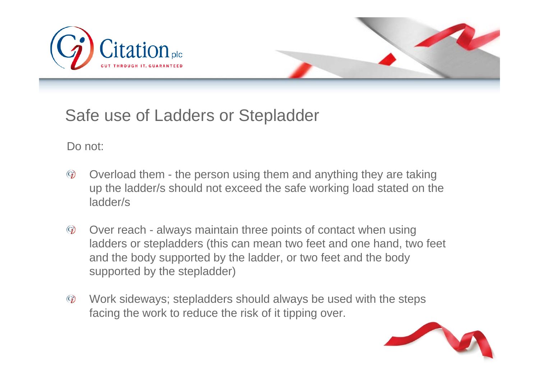



## Safe use of Ladders or Stepladder

Do not:

- $\mathcal{C}_{\bm{\ell}}$ Overload them - the person using them and anything they are taking up the ladder/s should not exceed the safe working load stated on the ladder/s
- $\odot$ Over reach - always maintain three points of contact when using ladders or stepladders (this can mean two feet and one hand, two feet and the body supported by the ladder, or two feet and the body supported by the stepladder)
- Work sideways; stepladders should always be used with the steps  $\odot$ facing the work to reduce the risk of it tipping over.

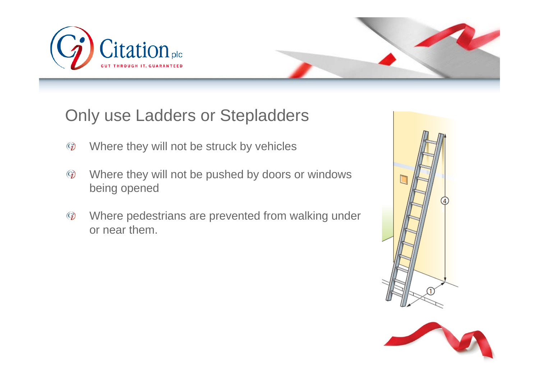



- Where they will not be struck by vehicles  $\odot$
- Where they will not be pushed by doors or windows  $\mathbb{G}$ being opened
- Where pedestrians are prevented from walking under  $\odot$ or near them.



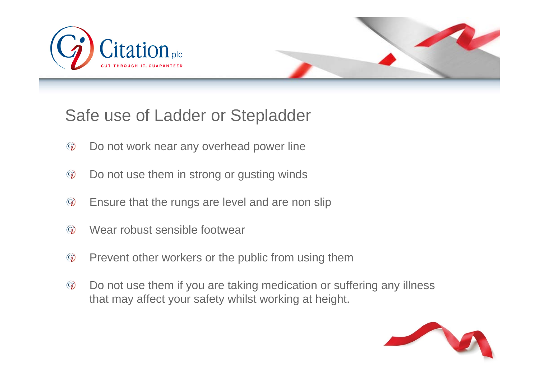



## Safe use of Ladder or Stepladder

- $\odot$ Do not work near any overhead power line
- $\mathcal{C}_{\bm{\ell}}$ Do not use them in strong or gusting winds
- $\odot$ Ensure that the rungs are level and are non slip
- Wear robust sensible footwear  $\odot)$
- $\odot$ Prevent other workers or the public from using them
- $\odot$ Do not use them if you are taking medication or suffering any illness that may affect your safety whilst working at height.

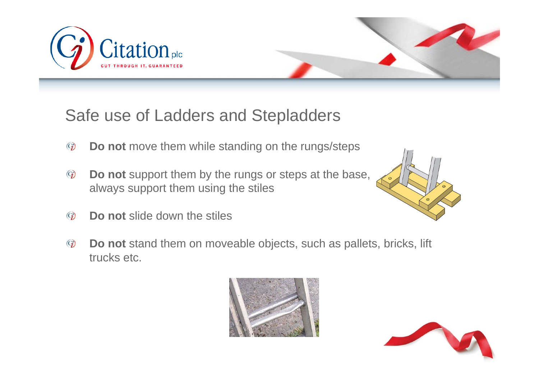



## Safe use of Ladders and Stepladders

- $\odot$ **Do not** move them while standing on the rungs/steps
- **Do not** support them by the rungs or steps at the base,  $\mathcal{C}_{\bm{\ell}}$ always support them using the stiles
- $\odot)$ **Do not** slide down the stiles
- **Do not** stand them on moveable objects, such as pallets, bricks, lift  $\mathbb{G}$ trucks etc.





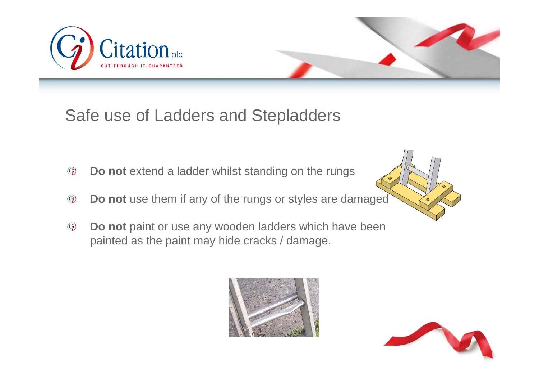



## Safe use of Ladders and Stepladders

- **Do not** extend a ladder whilst standing on the rungs  $\mathcal{C}_{\bm{\ell}}$
- **Do not** use them if any of the rungs or styles are damaged  $\odot$
- **Do not** paint or use any wooden ladders which have been  $\odot)$ painted as the paint may hide cracks / damage.



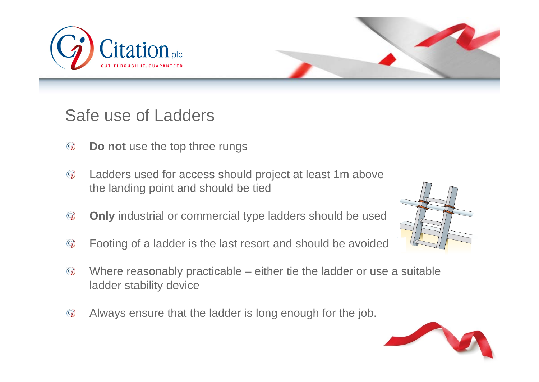



- $\odot$ **Do not** use the top three rungs
- $\mathcal{C}_{\bm{\ell}}$ Ladders used for access should project at least 1m above the landing point and should be tied
- **Only** industrial or commercial type ladders should be used  $\odot$
- Footing of a ladder is the last resort and should be avoided  $\mathcal{C}_{\bm{\ell}}$
- $\odot)$ Where reasonably practicable – either tie the ladder or use a suitable ladder stability device
- Always ensure that the ladder is long enough for the job. $\odot$



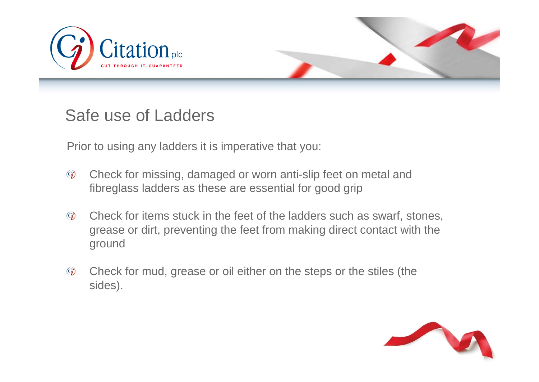



Prior to using any ladders it is imperative that you:

- $\mathcal{C}_{\bm{\ell}}$ Check for missing, damaged or worn anti-slip feet on metal and fibreglass ladders as these are essential for good grip
- Check for items stuck in the feet of the ladders such as swarf, stones,  $\odot)$ grease or dirt, preventing the feet from making direct contact with the ground
- $\odot)$ Check for mud, grease or oil either on the steps or the stiles (the sides).

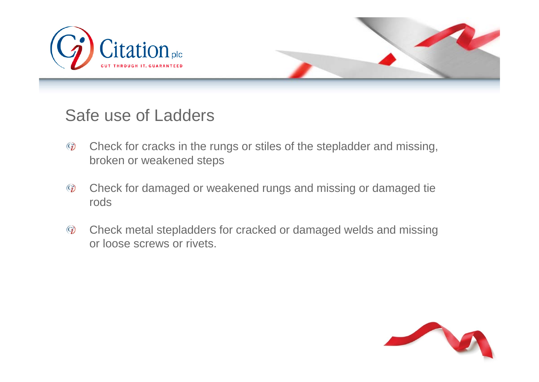



- Check for cracks in the rungs or stiles of the stepladder and missing,  $\odot$ broken or weakened steps
- Check for damaged or weakened rungs and missing or damaged tie  $\odot$ rods
- $\mathcal{C}_{\bm{\ell}}$ Check metal stepladders for cracked or damaged welds and missing or loose screws or rivets.

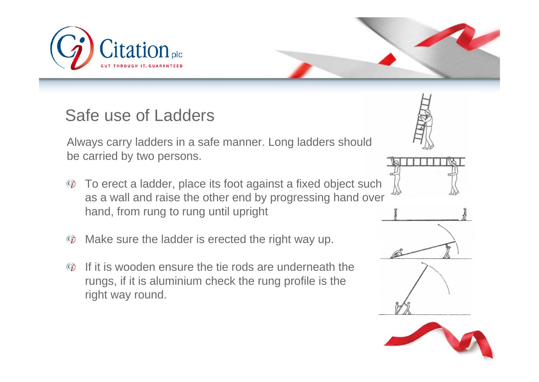

Always carry ladders in a safe manner. Long ladders should be carried by two persons.

- To erect a ladder, place its foot against a fixed object such  $\left(\mathbf{G}\right)$ as a wall and raise the other end by progressing hand over hand, from rung to rung until upright
- $\mathcal{C}_{\bm{\ell}}$ Make sure the ladder is erected the right way up.
- If it is wooden ensure the tie rods are underneath the  $\odot$ rungs, if it is aluminium check the rung profile is the right way round.

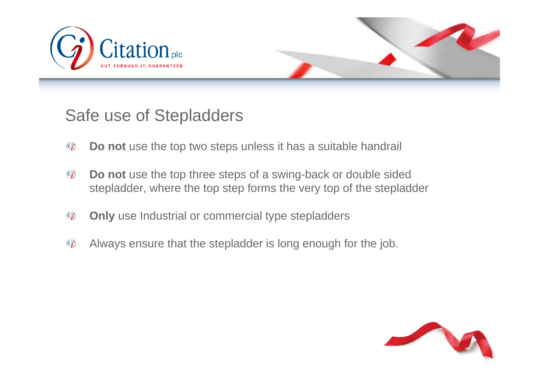



#### Safe use of Stepladders

- $\odot$ **Do not** use the top two steps unless it has a suitable handrail
- $\mathcal{C}_{\bm{\ell}}$ **Do not** use the top three steps of a swing-back or double sided stepladder, where the top step forms the very top of the stepladder
- $\odot$ **Only** use Industrial or commercial type stepladders
- Always ensure that the stepladder is long enough for the job. $\mathbf{G}$

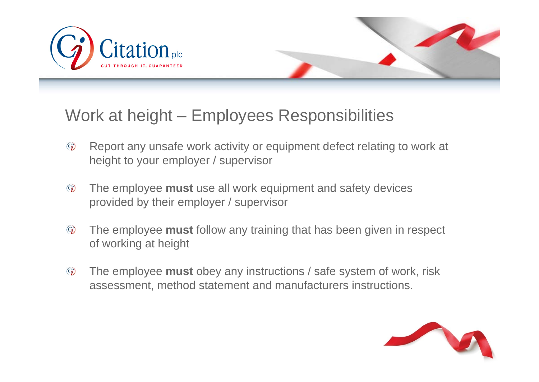



## Work at height – Employees Responsibilities

- Report any unsafe work activity or equipment defect relating to work at  $\odot$ height to your employer / supervisor
- The employee **must** use all work equipment and safety devices  $\mathcal{C}_{\bm j}$ provided by their employer / supervisor
- $\odot$ The employee **must** follow any training that has been given in respect of working at height
- $\left($ The employee **must** obey any instructions / safe system of work, risk assessment, method statement and manufacturers instructions.

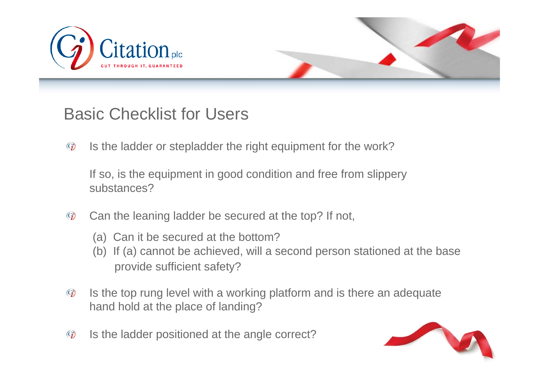



## Basic Checklist for Users

 $\odot$ Is the ladder or stepladder the right equipment for the work?

If so, is the equipment in good condition and free from slippery substances?

- Can the leaning ladder be secured at the top? If not,  $\odot$ 
	- (a) Can it be secured at the bottom?
	- (b) If (a) cannot be achieved, will a second person stationed at the base provide sufficient safety?
- Is the top rung level with a working platform and is there an adequate  $\odot$ hand hold at the place of landing?
- Is the ladder positioned at the angle correct?  $\mathcal{C}_{\bm{\ell}}$

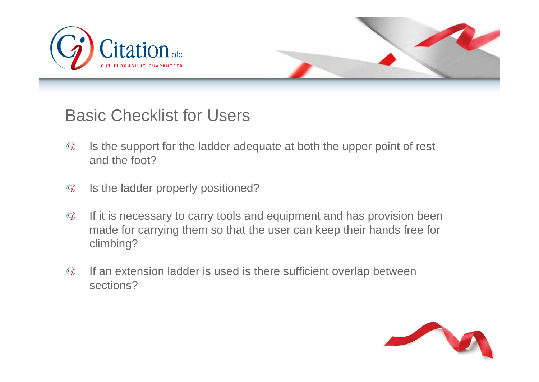



#### Basic Checklist for Users

- Is the support for the ladder adequate at both the upper point of rest  $\odot)$ and the foot?
- Is the ladder properly positioned?  $\odot$
- If it is necessary to carry tools and equipment and has provision been  $\mathbb{Q}$ made for carrying them so that the user can keep their hands free for climbing?
- $\odot)$ If an extension ladder is used is there sufficient overlap between sections?

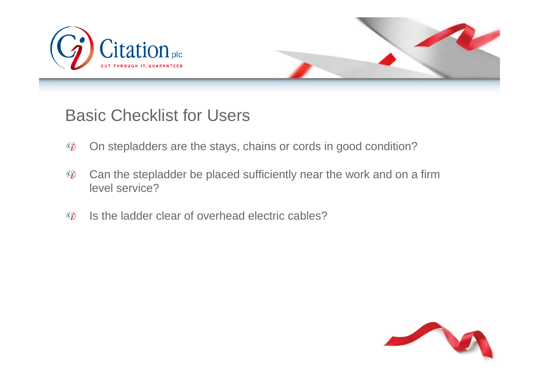



#### Basic Checklist for Users

- On stepladders are the stays, chains or cords in good condition?  $\odot$
- Can the stepladder be placed sufficiently near the work and on a firm  $\mathbf{Q}$ level service?
- Is the ladder clear of overhead electric cables? $\odot$

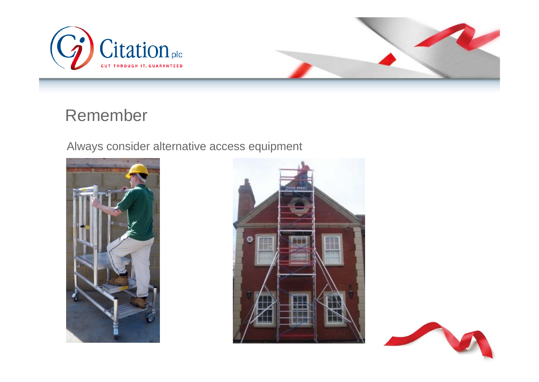



#### Remember

Always consider alternative access equipment